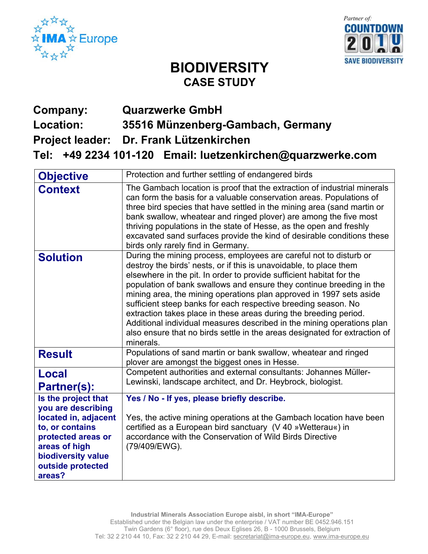



## **BIODIVERSITY CASE STUDY**

## **Company: Quarzwerke GmbH Location: 35516 Münzenberg-Gambach, Germany**

**Project leader: Dr. Frank Lützenkirchen** 

**Tel: +49 2234 101-120 Email: luetzenkirchen@quarzwerke.com** 

| <b>Objective</b>                                                                                                                                                                 | Protection and further settling of endangered birds                                                                                                                                                                                                                                                                                                                                                                                                                                                                                                                                                                                                                         |
|----------------------------------------------------------------------------------------------------------------------------------------------------------------------------------|-----------------------------------------------------------------------------------------------------------------------------------------------------------------------------------------------------------------------------------------------------------------------------------------------------------------------------------------------------------------------------------------------------------------------------------------------------------------------------------------------------------------------------------------------------------------------------------------------------------------------------------------------------------------------------|
| <b>Context</b>                                                                                                                                                                   | The Gambach location is proof that the extraction of industrial minerals<br>can form the basis for a valuable conservation areas. Populations of<br>three bird species that have settled in the mining area (sand martin or<br>bank swallow, wheatear and ringed plover) are among the five most<br>thriving populations in the state of Hesse, as the open and freshly<br>excavated sand surfaces provide the kind of desirable conditions these<br>birds only rarely find in Germany.                                                                                                                                                                                     |
| <b>Solution</b>                                                                                                                                                                  | During the mining process, employees are careful not to disturb or<br>destroy the birds' nests, or if this is unavoidable, to place them<br>elsewhere in the pit. In order to provide sufficient habitat for the<br>population of bank swallows and ensure they continue breeding in the<br>mining area, the mining operations plan approved in 1997 sets aside<br>sufficient steep banks for each respective breeding season. No<br>extraction takes place in these areas during the breeding period.<br>Additional individual measures described in the mining operations plan<br>also ensure that no birds settle in the areas designated for extraction of<br>minerals. |
| <b>Result</b>                                                                                                                                                                    | Populations of sand martin or bank swallow, wheatear and ringed<br>plover are amongst the biggest ones in Hesse.                                                                                                                                                                                                                                                                                                                                                                                                                                                                                                                                                            |
| <b>Local</b><br>Partner(s):                                                                                                                                                      | Competent authorities and external consultants: Johannes Müller-<br>Lewinski, landscape architect, and Dr. Heybrock, biologist.                                                                                                                                                                                                                                                                                                                                                                                                                                                                                                                                             |
| Is the project that<br>you are describing<br>located in, adjacent<br>to, or contains<br>protected areas or<br>areas of high<br>biodiversity value<br>outside protected<br>areas? | Yes / No - If yes, please briefly describe.<br>Yes, the active mining operations at the Gambach location have been<br>certified as a European bird sanctuary (V 40 »Wetterau«) in<br>accordance with the Conservation of Wild Birds Directive<br>(79/409/EWG).                                                                                                                                                                                                                                                                                                                                                                                                              |